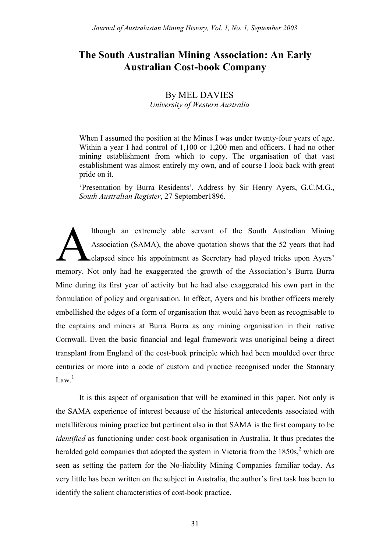# **The South Australian Mining Association: An Early Australian Cost-book Company**

## By MEL DAVIES *University of Western Australia*

When I assumed the position at the Mines I was under twenty-four years of age. Within a year I had control of 1,100 or 1,200 men and officers. I had no other mining establishment from which to copy. The organisation of that vast establishment was almost entirely my own, and of course I look back with great pride on it.

'Presentation by Burra Residents', Address by Sir Henry Ayers, G.C.M.G., *South Australian Register*, 27 September1896.

lthough an extremely able servant of the South Australian Mining Association (SAMA), the above quotation shows that the 52 years that had elapsed since his appointment as Secretary had played tricks upon Ayers' memory. Not only had he exaggerated the growth of the Association's Burra Burra Mine during its first year of activity but he had also exaggerated his own part in the formulation of policy and organisation. In effect, Ayers and his brother officers merely embellished the edges of a form of organisation that would have been as recognisable to the captains and miners at Burra Burra as any mining organisation in their native Cornwall. Even the basic financial and legal framework was unoriginal being a direct transplant from England of the cost-book principle which had been moulded over three centuries or more into a code of custom and practice recognised under the Stannary Law<sup>1</sup> A

It is this aspect of organisation that will be examined in this paper. Not only is the SAMA experience of interest because of the historical antecedents associated with metalliferous mining practice but pertinent also in that SAMA is the first company to be *identified* as functioning under cost-book organisation in Australia. It thus predates the heralded gold companies that adopted the system in Victoria from the  $1850s<sub>s</sub><sup>2</sup>$  which are seen as setting the pattern for the No-liability Mining Companies familiar today. As very little has been written on the subject in Australia, the author's first task has been to identify the salient characteristics of cost-book practice.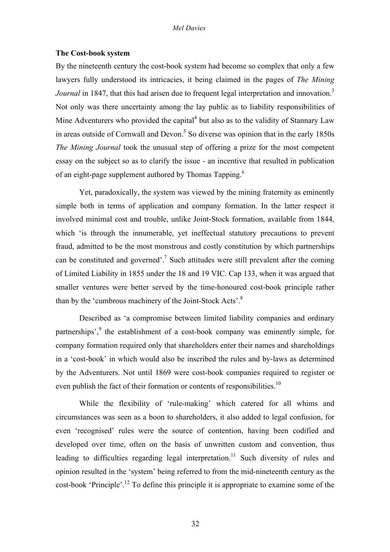### **The Cost-book system**

By the nineteenth century the cost-book system had become so complex that only a few lawyers fully understood its intricacies, it being claimed in the pages of *The Mining Journal* in 1847, that this had arisen due to frequent legal interpretation and innovation.<sup>3</sup> Not only was there uncertainty among the lay public as to liability responsibilities of Mine Adventurers who provided the capital<sup>4</sup> but also as to the validity of Stannary Law in areas outside of Cornwall and Devon.<sup>5</sup> So diverse was opinion that in the early 1850s *The Mining Journal* took the unusual step of offering a prize for the most competent essay on the subject so as to clarify the issue - an incentive that resulted in publication of an eight-page supplement authored by Thomas Tapping.<sup>6</sup>

Yet, paradoxically, the system was viewed by the mining fraternity as eminently simple both in terms of application and company formation. In the latter respect it involved minimal cost and trouble, unlike Joint-Stock formation, available from 1844, which 'is through the innumerable, yet ineffectual statutory precautions to prevent fraud, admitted to be the most monstrous and costly constitution by which partnerships can be constituted and governed'.<sup>7</sup> Such attitudes were still prevalent after the coming of Limited Liability in 1855 under the 18 and 19 VIC. Cap 133, when it was argued that smaller ventures were better served by the time-honoured cost-book principle rather than by the 'cumbrous machinery of the Joint-Stock Acts'.8

Described as 'a compromise between limited liability companies and ordinary partnerships', $9$  the establishment of a cost-book company was eminently simple, for company formation required only that shareholders enter their names and shareholdings in a 'cost-book' in which would also be inscribed the rules and by-laws as determined by the Adventurers. Not until 1869 were cost-book companies required to register or even publish the fact of their formation or contents of responsibilities.<sup>10</sup>

While the flexibility of 'rule-making' which catered for all whims and circumstances was seen as a boon to shareholders, it also added to legal confusion, for even 'recognised' rules were the source of contention, having been codified and developed over time, often on the basis of unwritten custom and convention, thus leading to difficulties regarding legal interpretation.<sup>11</sup> Such diversity of rules and opinion resulted in the 'system' being referred to from the mid-nineteenth century as the cost-book 'Principle'.<sup>12</sup> To define this principle it is appropriate to examine some of the

32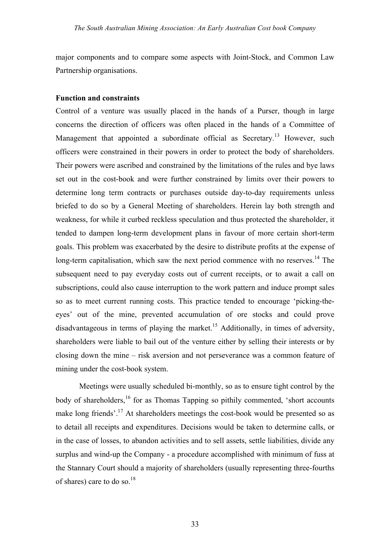major components and to compare some aspects with Joint-Stock, and Common Law Partnership organisations.

### **Function and constraints**

Control of a venture was usually placed in the hands of a Purser, though in large concerns the direction of officers was often placed in the hands of a Committee of Management that appointed a subordinate official as Secretary.<sup>13</sup> However, such officers were constrained in their powers in order to protect the body of shareholders. Their powers were ascribed and constrained by the limitations of the rules and bye laws set out in the cost-book and were further constrained by limits over their powers to determine long term contracts or purchases outside day-to-day requirements unless briefed to do so by a General Meeting of shareholders. Herein lay both strength and weakness, for while it curbed reckless speculation and thus protected the shareholder, it tended to dampen long-term development plans in favour of more certain short-term goals. This problem was exacerbated by the desire to distribute profits at the expense of long-term capitalisation, which saw the next period commence with no reserves.<sup>14</sup> The subsequent need to pay everyday costs out of current receipts, or to await a call on subscriptions, could also cause interruption to the work pattern and induce prompt sales so as to meet current running costs. This practice tended to encourage 'picking-theeyes' out of the mine, prevented accumulation of ore stocks and could prove disadvantageous in terms of playing the market.<sup>15</sup> Additionally, in times of adversity, shareholders were liable to bail out of the venture either by selling their interests or by closing down the mine – risk aversion and not perseverance was a common feature of mining under the cost-book system.

Meetings were usually scheduled bi-monthly, so as to ensure tight control by the body of shareholders,<sup>16</sup> for as Thomas Tapping so pithily commented, 'short accounts make long friends'.<sup>17</sup> At shareholders meetings the cost-book would be presented so as to detail all receipts and expenditures. Decisions would be taken to determine calls, or in the case of losses, to abandon activities and to sell assets, settle liabilities, divide any surplus and wind-up the Company - a procedure accomplished with minimum of fuss at the Stannary Court should a majority of shareholders (usually representing three-fourths of shares) care to do so.<sup>18</sup>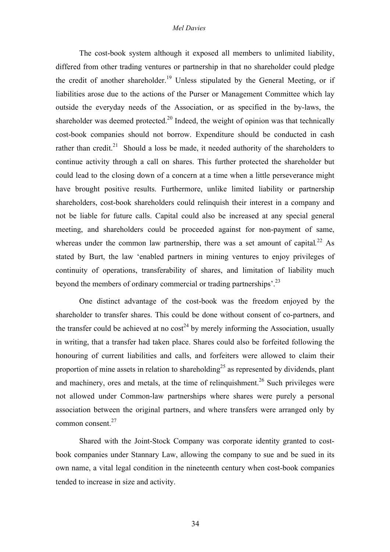The cost-book system although it exposed all members to unlimited liability, differed from other trading ventures or partnership in that no shareholder could pledge the credit of another shareholder.<sup>19</sup> Unless stipulated by the General Meeting, or if liabilities arose due to the actions of the Purser or Management Committee which lay outside the everyday needs of the Association, or as specified in the by-laws, the shareholder was deemed protected.<sup>20</sup> Indeed, the weight of opinion was that technically cost-book companies should not borrow. Expenditure should be conducted in cash rather than credit.<sup>21</sup> Should a loss be made, it needed authority of the shareholders to continue activity through a call on shares. This further protected the shareholder but could lead to the closing down of a concern at a time when a little perseverance might have brought positive results. Furthermore, unlike limited liability or partnership shareholders, cost-book shareholders could relinquish their interest in a company and not be liable for future calls. Capital could also be increased at any special general meeting, and shareholders could be proceeded against for non-payment of same, whereas under the common law partnership, there was a set amount of capital.<sup>22</sup> As stated by Burt, the law 'enabled partners in mining ventures to enjoy privileges of continuity of operations, transferability of shares, and limitation of liability much beyond the members of ordinary commercial or trading partnerships'.<sup>23</sup>

One distinct advantage of the cost-book was the freedom enjoyed by the shareholder to transfer shares. This could be done without consent of co-partners, and the transfer could be achieved at no  $\cos t^{24}$  by merely informing the Association, usually in writing, that a transfer had taken place. Shares could also be forfeited following the honouring of current liabilities and calls, and forfeiters were allowed to claim their proportion of mine assets in relation to shareholding<sup>25</sup> as represented by dividends, plant and machinery, ores and metals, at the time of relinquishment.<sup>26</sup> Such privileges were not allowed under Common-law partnerships where shares were purely a personal association between the original partners, and where transfers were arranged only by common consent. $27$ 

Shared with the Joint-Stock Company was corporate identity granted to costbook companies under Stannary Law, allowing the company to sue and be sued in its own name, a vital legal condition in the nineteenth century when cost-book companies tended to increase in size and activity.

34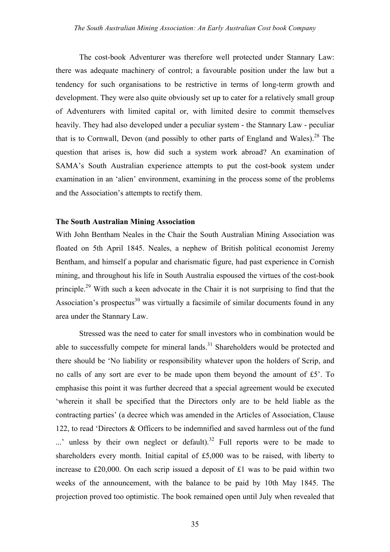The cost-book Adventurer was therefore well protected under Stannary Law: there was adequate machinery of control; a favourable position under the law but a tendency for such organisations to be restrictive in terms of long-term growth and development. They were also quite obviously set up to cater for a relatively small group of Adventurers with limited capital or, with limited desire to commit themselves heavily. They had also developed under a peculiar system - the Stannary Law - peculiar that is to Cornwall, Devon (and possibly to other parts of England and Wales).<sup>28</sup> The question that arises is, how did such a system work abroad? An examination of SAMA's South Australian experience attempts to put the cost-book system under examination in an 'alien' environment, examining in the process some of the problems and the Association's attempts to rectify them.

### **The South Australian Mining Association**

With John Bentham Neales in the Chair the South Australian Mining Association was floated on 5th April 1845. Neales, a nephew of British political economist Jeremy Bentham, and himself a popular and charismatic figure, had past experience in Cornish mining, and throughout his life in South Australia espoused the virtues of the cost-book principle.<sup>29</sup> With such a keen advocate in the Chair it is not surprising to find that the Association's prospectus<sup>30</sup> was virtually a facsimile of similar documents found in any area under the Stannary Law.

Stressed was the need to cater for small investors who in combination would be able to successfully compete for mineral lands.<sup>31</sup> Shareholders would be protected and there should be 'No liability or responsibility whatever upon the holders of Scrip, and no calls of any sort are ever to be made upon them beyond the amount of £5'. To emphasise this point it was further decreed that a special agreement would be executed 'wherein it shall be specified that the Directors only are to be held liable as the contracting parties' (a decree which was amended in the Articles of Association, Clause 122, to read 'Directors & Officers to be indemnified and saved harmless out of the fund  $\ldots$ ' unless by their own neglect or default).<sup>32</sup> Full reports were to be made to shareholders every month. Initial capital of £5,000 was to be raised, with liberty to increase to £20,000. On each scrip issued a deposit of £1 was to be paid within two weeks of the announcement, with the balance to be paid by 10th May 1845. The projection proved too optimistic. The book remained open until July when revealed that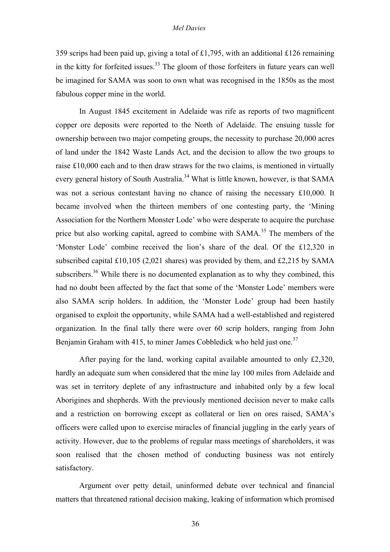359 scrips had been paid up, giving a total of £1,795, with an additional £126 remaining in the kitty for forfeited issues. $33$  The gloom of those forfeiters in future years can well be imagined for SAMA was soon to own what was recognised in the 1850s as the most fabulous copper mine in the world.

In August 1845 excitement in Adelaide was rife as reports of two magnificent copper ore deposits were reported to the North of Adelaide. The ensuing tussle for ownership between two major competing groups, the necessity to purchase 20,000 acres of land under the 1842 Waste Lands Act, and the decision to allow the two groups to raise £10,000 each and to then draw straws for the two claims, is mentioned in virtually every general history of South Australia.<sup>34</sup> What is little known, however, is that SAMA was not a serious contestant having no chance of raising the necessary £10,000. It became involved when the thirteen members of one contesting party, the 'Mining Association for the Northern Monster Lode' who were desperate to acquire the purchase price but also working capital, agreed to combine with  $SAMA$ <sup>35</sup>. The members of the 'Monster Lode' combine received the lion's share of the deal. Of the £12,320 in subscribed capital £10,105 (2,021 shares) was provided by them, and £2,215 by SAMA subscribers.<sup>36</sup> While there is no documented explanation as to why they combined, this had no doubt been affected by the fact that some of the 'Monster Lode' members were also SAMA scrip holders. In addition, the 'Monster Lode' group had been hastily organised to exploit the opportunity, while SAMA had a well-established and registered organization. In the final tally there were over 60 scrip holders, ranging from John Benjamin Graham with 415, to miner James Cobbledick who held just one.<sup>37</sup>

After paying for the land, working capital available amounted to only £2,320, hardly an adequate sum when considered that the mine lay 100 miles from Adelaide and was set in territory deplete of any infrastructure and inhabited only by a few local Aborigines and shepherds. With the previously mentioned decision never to make calls and a restriction on borrowing except as collateral or lien on ores raised, SAMA's officers were called upon to exercise miracles of financial juggling in the early years of activity. However, due to the problems of regular mass meetings of shareholders, it was soon realised that the chosen method of conducting business was not entirely satisfactory.

Argument over petty detail, uninformed debate over technical and financial matters that threatened rational decision making, leaking of information which promised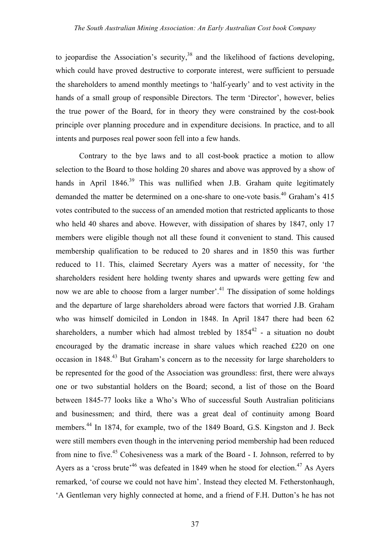to jeopardise the Association's security, $38$  and the likelihood of factions developing, which could have proved destructive to corporate interest, were sufficient to persuade the shareholders to amend monthly meetings to 'half-yearly' and to vest activity in the hands of a small group of responsible Directors. The term 'Director', however, belies the true power of the Board, for in theory they were constrained by the cost-book principle over planning procedure and in expenditure decisions. In practice, and to all intents and purposes real power soon fell into a few hands.

Contrary to the bye laws and to all cost-book practice a motion to allow selection to the Board to those holding 20 shares and above was approved by a show of hands in April  $1846<sup>39</sup>$  This was nullified when J.B. Graham quite legitimately demanded the matter be determined on a one-share to one-vote basis.<sup>40</sup> Graham's  $415$ votes contributed to the success of an amended motion that restricted applicants to those who held 40 shares and above. However, with dissipation of shares by 1847, only 17 members were eligible though not all these found it convenient to stand. This caused membership qualification to be reduced to 20 shares and in 1850 this was further reduced to 11. This, claimed Secretary Ayers was a matter of necessity, for 'the shareholders resident here holding twenty shares and upwards were getting few and now we are able to choose from a larger number'.<sup>41</sup> The dissipation of some holdings and the departure of large shareholders abroad were factors that worried J.B. Graham who was himself domiciled in London in 1848. In April 1847 there had been 62 shareholders, a number which had almost trebled by  $1854^{42}$  - a situation no doubt encouraged by the dramatic increase in share values which reached £220 on one occasion in 1848<sup>43</sup> But Graham's concern as to the necessity for large shareholders to be represented for the good of the Association was groundless: first, there were always one or two substantial holders on the Board; second, a list of those on the Board between 1845-77 looks like a Who's Who of successful South Australian politicians and businessmen; and third, there was a great deal of continuity among Board members.<sup>44</sup> In 1874, for example, two of the 1849 Board, G.S. Kingston and J. Beck were still members even though in the intervening period membership had been reduced from nine to five.<sup>45</sup> Cohesiveness was a mark of the Board  $-$  I. Johnson, referred to by Ayers as a 'cross brute'<sup>46</sup> was defeated in 1849 when he stood for election.<sup>47</sup> As Ayers remarked, 'of course we could not have him'. Instead they elected M. Fetherstonhaugh, 'A Gentleman very highly connected at home, and a friend of F.H. Dutton's he has not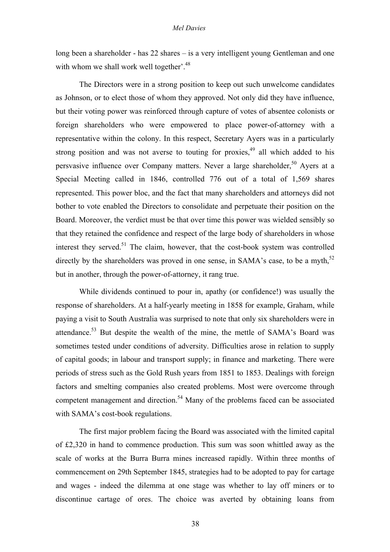long been a shareholder - has 22 shares – is a very intelligent young Gentleman and one with whom we shall work well together'.<sup>48</sup>

The Directors were in a strong position to keep out such unwelcome candidates as Johnson, or to elect those of whom they approved. Not only did they have influence, but their voting power was reinforced through capture of votes of absentee colonists or foreign shareholders who were empowered to place power-of-attorney with a representative within the colony. In this respect, Secretary Ayers was in a particularly strong position and was not averse to touting for proxies,  $49$  all which added to his persvasive influence over Company matters. Never a large shareholder,<sup>50</sup> Ayers at a Special Meeting called in 1846, controlled 776 out of a total of 1,569 shares represented. This power bloc, and the fact that many shareholders and attorneys did not bother to vote enabled the Directors to consolidate and perpetuate their position on the Board. Moreover, the verdict must be that over time this power was wielded sensibly so that they retained the confidence and respect of the large body of shareholders in whose interest they served.<sup>51</sup> The claim, however, that the cost-book system was controlled directly by the shareholders was proved in one sense, in SAMA's case, to be a myth, $52$ but in another, through the power-of-attorney, it rang true.

While dividends continued to pour in, apathy (or confidence!) was usually the response of shareholders. At a half-yearly meeting in 1858 for example, Graham, while paying a visit to South Australia was surprised to note that only six shareholders were in attendance.<sup>53</sup> But despite the wealth of the mine, the mettle of SAMA's Board was sometimes tested under conditions of adversity. Difficulties arose in relation to supply of capital goods; in labour and transport supply; in finance and marketing. There were periods of stress such as the Gold Rush years from 1851 to 1853. Dealings with foreign factors and smelting companies also created problems. Most were overcome through competent management and direction.<sup>54</sup> Many of the problems faced can be associated with SAMA's cost-book regulations.

The first major problem facing the Board was associated with the limited capital of £2,320 in hand to commence production. This sum was soon whittled away as the scale of works at the Burra Burra mines increased rapidly. Within three months of commencement on 29th September 1845, strategies had to be adopted to pay for cartage and wages - indeed the dilemma at one stage was whether to lay off miners or to discontinue cartage of ores. The choice was averted by obtaining loans from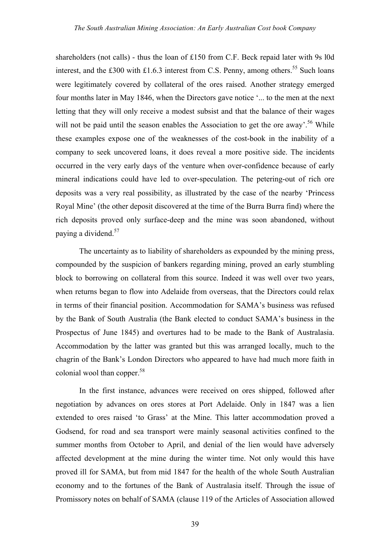shareholders (not calls) - thus the loan of £150 from C.F. Beck repaid later with 9s l0d interest, and the £300 with £1.6.3 interest from C.S. Penny, among others.<sup>55</sup> Such loans were legitimately covered by collateral of the ores raised. Another strategy emerged four months later in May 1846, when the Directors gave notice '... to the men at the next letting that they will only receive a modest subsist and that the balance of their wages will not be paid until the season enables the Association to get the ore away'.<sup>56</sup> While these examples expose one of the weaknesses of the cost-book in the inability of a company to seek uncovered loans, it does reveal a more positive side. The incidents occurred in the very early days of the venture when over-confidence because of early mineral indications could have led to over-speculation. The petering-out of rich ore deposits was a very real possibility, as illustrated by the case of the nearby 'Princess Royal Mine' (the other deposit discovered at the time of the Burra Burra find) where the rich deposits proved only surface-deep and the mine was soon abandoned, without paying a dividend.<sup>57</sup>

The uncertainty as to liability of shareholders as expounded by the mining press, compounded by the suspicion of bankers regarding mining, proved an early stumbling block to borrowing on collateral from this source. Indeed it was well over two years, when returns began to flow into Adelaide from overseas, that the Directors could relax in terms of their financial position. Accommodation for SAMA's business was refused by the Bank of South Australia (the Bank elected to conduct SAMA's business in the Prospectus of June 1845) and overtures had to be made to the Bank of Australasia. Accommodation by the latter was granted but this was arranged locally, much to the chagrin of the Bank's London Directors who appeared to have had much more faith in colonial wool than copper. $58$ 

In the first instance, advances were received on ores shipped, followed after negotiation by advances on ores stores at Port Adelaide. Only in 1847 was a lien extended to ores raised 'to Grass' at the Mine. This latter accommodation proved a Godsend, for road and sea transport were mainly seasonal activities confined to the summer months from October to April, and denial of the lien would have adversely affected development at the mine during the winter time. Not only would this have proved ill for SAMA, but from mid 1847 for the health of the whole South Australian economy and to the fortunes of the Bank of Australasia itself. Through the issue of Promissory notes on behalf of SAMA (clause 119 of the Articles of Association allowed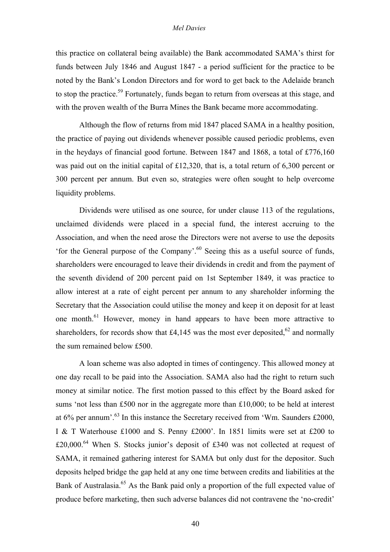this practice on collateral being available) the Bank accommodated SAMA's thirst for funds between July 1846 and August 1847 - a period sufficient for the practice to be noted by the Bank's London Directors and for word to get back to the Adelaide branch to stop the practice.<sup>59</sup> Fortunately, funds began to return from overseas at this stage, and with the proven wealth of the Burra Mines the Bank became more accommodating.

Although the flow of returns from mid 1847 placed SAMA in a healthy position, the practice of paying out dividends whenever possible caused periodic problems, even in the heydays of financial good fortune. Between 1847 and 1868, a total of £776,160 was paid out on the initial capital of £12,320, that is, a total return of 6,300 percent or 300 percent per annum. But even so, strategies were often sought to help overcome liquidity problems.

Dividends were utilised as one source, for under clause 113 of the regulations, unclaimed dividends were placed in a special fund, the interest accruing to the Association, and when the need arose the Directors were not averse to use the deposits 'for the General purpose of the Company'.60 Seeing this as a useful source of funds, shareholders were encouraged to leave their dividends in credit and from the payment of the seventh dividend of 200 percent paid on 1st September 1849, it was practice to allow interest at a rate of eight percent per annum to any shareholder informing the Secretary that the Association could utilise the money and keep it on deposit for at least one month.<sup>61</sup> However, money in hand appears to have been more attractive to shareholders, for records show that £4,145 was the most ever deposited,<sup>62</sup> and normally the sum remained below £500.

A loan scheme was also adopted in times of contingency. This allowed money at one day recall to be paid into the Association. SAMA also had the right to return such money at similar notice. The first motion passed to this effect by the Board asked for sums 'not less than £500 nor in the aggregate more than £10,000; to be held at interest at  $6\%$  per annum<sup>'.63</sup> In this instance the Secretary received from 'Wm. Saunders £2000, I & T Waterhouse £1000 and S. Penny £2000'. In 1851 limits were set at £200 to £20,000.<sup>64</sup> When S. Stocks junior's deposit of £340 was not collected at request of SAMA, it remained gathering interest for SAMA but only dust for the depositor. Such deposits helped bridge the gap held at any one time between credits and liabilities at the Bank of Australasia.<sup>65</sup> As the Bank paid only a proportion of the full expected value of produce before marketing, then such adverse balances did not contravene the 'no-credit'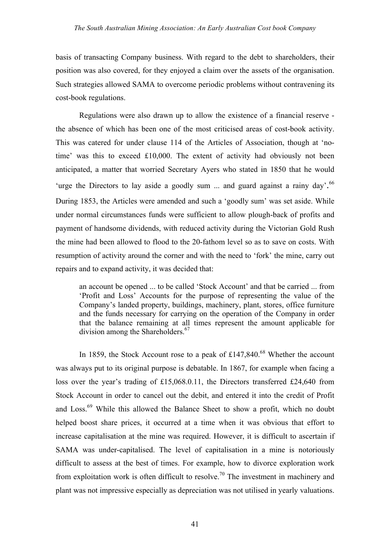basis of transacting Company business. With regard to the debt to shareholders, their position was also covered, for they enjoyed a claim over the assets of the organisation. Such strategies allowed SAMA to overcome periodic problems without contravening its cost-book regulations.

Regulations were also drawn up to allow the existence of a financial reserve the absence of which has been one of the most criticised areas of cost-book activity. This was catered for under clause 114 of the Articles of Association, though at 'notime' was this to exceed £10,000. The extent of activity had obviously not been anticipated, a matter that worried Secretary Ayers who stated in 1850 that he would 'urge the Directors to lay aside a goodly sum ... and guard against a rainy day'.<sup>66</sup> During 1853, the Articles were amended and such a 'goodly sum' was set aside. While under normal circumstances funds were sufficient to allow plough-back of profits and payment of handsome dividends, with reduced activity during the Victorian Gold Rush the mine had been allowed to flood to the 20-fathom level so as to save on costs. With resumption of activity around the corner and with the need to 'fork' the mine, carry out repairs and to expand activity, it was decided that:

an account be opened ... to be called 'Stock Account' and that be carried ... from 'Profit and Loss' Accounts for the purpose of representing the value of the Company's landed property, buildings, machinery, plant, stores, office furniture and the funds necessary for carrying on the operation of the Company in order that the balance remaining at all times represent the amount applicable for division among the Shareholders.<sup>67</sup>

In 1859, the Stock Account rose to a peak of  $£147,840.68$  Whether the account was always put to its original purpose is debatable. In 1867, for example when facing a loss over the year's trading of £15,068.0.11, the Directors transferred £24,640 from Stock Account in order to cancel out the debit, and entered it into the credit of Profit and Loss.<sup>69</sup> While this allowed the Balance Sheet to show a profit, which no doubt helped boost share prices, it occurred at a time when it was obvious that effort to increase capitalisation at the mine was required. However, it is difficult to ascertain if SAMA was under-capitalised. The level of capitalisation in a mine is notoriously difficult to assess at the best of times. For example, how to divorce exploration work from exploitation work is often difficult to resolve.<sup>70</sup> The investment in machinery and plant was not impressive especially as depreciation was not utilised in yearly valuations.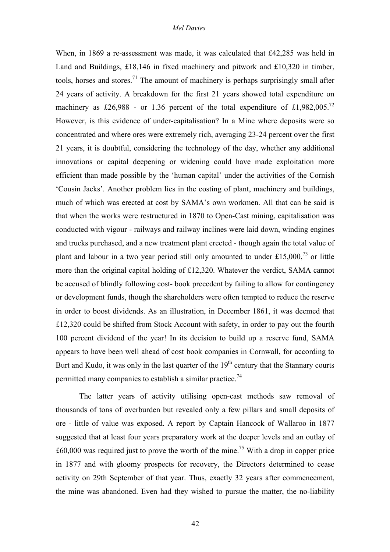When, in 1869 a re-assessment was made, it was calculated that £42,285 was held in Land and Buildings, £18,146 in fixed machinery and pitwork and £10,320 in timber, tools, horses and stores.<sup>71</sup> The amount of machinery is perhaps surprisingly small after 24 years of activity. A breakdown for the first 21 years showed total expenditure on machinery as £26,988 - or 1.36 percent of the total expenditure of £1,982,005.<sup>72</sup> However, is this evidence of under-capitalisation? In a Mine where deposits were so concentrated and where ores were extremely rich, averaging 23-24 percent over the first 21 years, it is doubtful, considering the technology of the day, whether any additional innovations or capital deepening or widening could have made exploitation more efficient than made possible by the 'human capital' under the activities of the Cornish 'Cousin Jacks'. Another problem lies in the costing of plant, machinery and buildings, much of which was erected at cost by SAMA's own workmen. All that can be said is that when the works were restructured in 1870 to Open-Cast mining, capitalisation was conducted with vigour - railways and railway inclines were laid down, winding engines and trucks purchased, and a new treatment plant erected - though again the total value of plant and labour in a two year period still only amounted to under £15,000,<sup>73</sup> or little more than the original capital holding of £12,320. Whatever the verdict, SAMA cannot be accused of blindly following cost- book precedent by failing to allow for contingency or development funds, though the shareholders were often tempted to reduce the reserve in order to boost dividends. As an illustration, in December 1861, it was deemed that £12,320 could be shifted from Stock Account with safety, in order to pay out the fourth 100 percent dividend of the year! In its decision to build up a reserve fund, SAMA appears to have been well ahead of cost book companies in Cornwall, for according to Burt and Kudo, it was only in the last quarter of the  $19<sup>th</sup>$  century that the Stannary courts permitted many companies to establish a similar practice.<sup>74</sup>

The latter years of activity utilising open-cast methods saw removal of thousands of tons of overburden but revealed only a few pillars and small deposits of ore - little of value was exposed. A report by Captain Hancock of Wallaroo in 1877 suggested that at least four years preparatory work at the deeper levels and an outlay of  $\text{\pounds}60,000$  was required just to prove the worth of the mine.<sup>75</sup> With a drop in copper price in 1877 and with gloomy prospects for recovery, the Directors determined to cease activity on 29th September of that year. Thus, exactly 32 years after commencement, the mine was abandoned. Even had they wished to pursue the matter, the no-liability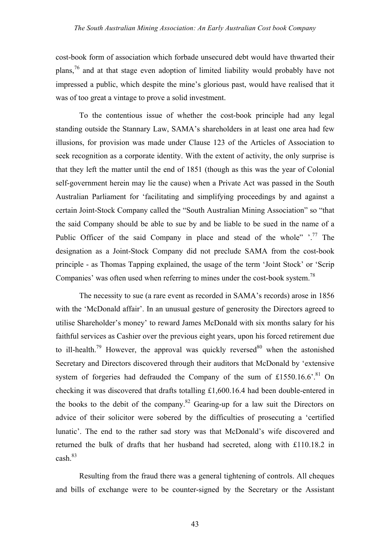cost-book form of association which forbade unsecured debt would have thwarted their plans,76 and at that stage even adoption of limited liability would probably have not impressed a public, which despite the mine's glorious past, would have realised that it was of too great a vintage to prove a solid investment.

To the contentious issue of whether the cost-book principle had any legal standing outside the Stannary Law, SAMA's shareholders in at least one area had few illusions, for provision was made under Clause 123 of the Articles of Association to seek recognition as a corporate identity. With the extent of activity, the only surprise is that they left the matter until the end of 1851 (though as this was the year of Colonial self-government herein may lie the cause) when a Private Act was passed in the South Australian Parliament for 'facilitating and simplifying proceedings by and against a certain Joint-Stock Company called the "South Australian Mining Association" so "that the said Company should be able to sue by and be liable to be sued in the name of a Public Officer of the said Company in place and stead of the whole"  $\cdot$ <sup>77</sup>. The designation as a Joint-Stock Company did not preclude SAMA from the cost-book principle - as Thomas Tapping explained, the usage of the term 'Joint Stock' or 'Scrip Companies' was often used when referring to mines under the cost-book system.<sup>78</sup>

The necessity to sue (a rare event as recorded in SAMA's records) arose in 1856 with the 'McDonald affair'. In an unusual gesture of generosity the Directors agreed to utilise Shareholder's money' to reward James McDonald with six months salary for his faithful services as Cashier over the previous eight years, upon his forced retirement due to ill-health.<sup>79</sup> However, the approval was quickly reversed<sup>80</sup> when the astonished Secretary and Directors discovered through their auditors that McDonald by 'extensive system of forgeries had defrauded the Company of the sum of £1550.16.6<sup>' 81</sup> On checking it was discovered that drafts totalling £1,600.16.4 had been double-entered in the books to the debit of the company.<sup>82</sup> Gearing-up for a law suit the Directors on advice of their solicitor were sobered by the difficulties of prosecuting a 'certified lunatic'. The end to the rather sad story was that McDonald's wife discovered and returned the bulk of drafts that her husband had secreted, along with £110.18.2 in  $cash^{83}$ 

Resulting from the fraud there was a general tightening of controls. All cheques and bills of exchange were to be counter-signed by the Secretary or the Assistant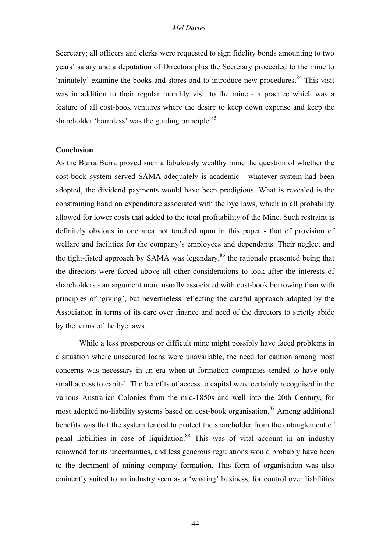Secretary; all officers and clerks were requested to sign fidelity bonds amounting to two years' salary and a deputation of Directors plus the Secretary proceeded to the mine to 'minutely' examine the books and stores and to introduce new procedures.<sup>84</sup> This visit was in addition to their regular monthly visit to the mine - a practice which was a feature of all cost-book ventures where the desire to keep down expense and keep the shareholder 'harmless' was the guiding principle.<sup>85</sup>

### **Conclusion**

As the Burra Burra proved such a fabulously wealthy mine the question of whether the cost-book system served SAMA adequately is academic - whatever system had been adopted, the dividend payments would have been prodigious. What is revealed is the constraining hand on expenditure associated with the bye laws, which in all probability allowed for lower costs that added to the total profitability of the Mine. Such restraint is definitely obvious in one area not touched upon in this paper - that of provision of welfare and facilities for the company's employees and dependants. Their neglect and the tight-fisted approach by SAMA was legendary,  $86$  the rationale presented being that the directors were forced above all other considerations to look after the interests of shareholders - an argument more usually associated with cost-book borrowing than with principles of 'giving', but nevertheless reflecting the careful approach adopted by the Association in terms of its care over finance and need of the directors to strictly abide by the terms of the bye laws.

While a less prosperous or difficult mine might possibly have faced problems in a situation where unsecured loans were unavailable, the need for caution among most concerns was necessary in an era when at formation companies tended to have only small access to capital. The benefits of access to capital were certainly recognised in the various Australian Colonies from the mid-1850s and well into the 20th Century, for most adopted no-liability systems based on cost-book organisation.<sup>87</sup> Among additional benefits was that the system tended to protect the shareholder from the entanglement of penal liabilities in case of liquidation.<sup>88</sup> This was of vital account in an industry renowned for its uncertainties, and less generous regulations would probably have been to the detriment of mining company formation. This form of organisation was also eminently suited to an industry seen as a 'wasting' business, for control over liabilities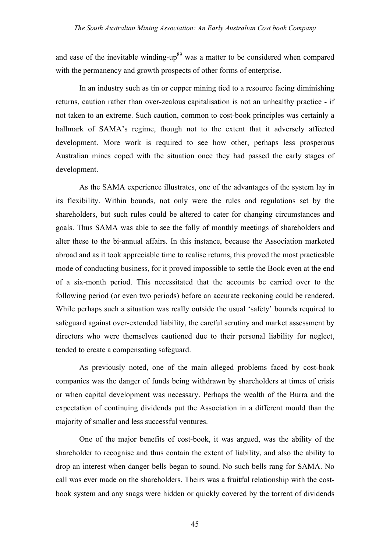and ease of the inevitable winding-up<sup>89</sup> was a matter to be considered when compared with the permanency and growth prospects of other forms of enterprise.

In an industry such as tin or copper mining tied to a resource facing diminishing returns, caution rather than over-zealous capitalisation is not an unhealthy practice - if not taken to an extreme. Such caution, common to cost-book principles was certainly a hallmark of SAMA's regime, though not to the extent that it adversely affected development. More work is required to see how other, perhaps less prosperous Australian mines coped with the situation once they had passed the early stages of development.

As the SAMA experience illustrates, one of the advantages of the system lay in its flexibility. Within bounds, not only were the rules and regulations set by the shareholders, but such rules could be altered to cater for changing circumstances and goals. Thus SAMA was able to see the folly of monthly meetings of shareholders and alter these to the bi-annual affairs. In this instance, because the Association marketed abroad and as it took appreciable time to realise returns, this proved the most practicable mode of conducting business, for it proved impossible to settle the Book even at the end of a six-month period. This necessitated that the accounts be carried over to the following period (or even two periods) before an accurate reckoning could be rendered. While perhaps such a situation was really outside the usual 'safety' bounds required to safeguard against over-extended liability, the careful scrutiny and market assessment by directors who were themselves cautioned due to their personal liability for neglect, tended to create a compensating safeguard.

As previously noted, one of the main alleged problems faced by cost-book companies was the danger of funds being withdrawn by shareholders at times of crisis or when capital development was necessary. Perhaps the wealth of the Burra and the expectation of continuing dividends put the Association in a different mould than the majority of smaller and less successful ventures.

One of the major benefits of cost-book, it was argued, was the ability of the shareholder to recognise and thus contain the extent of liability, and also the ability to drop an interest when danger bells began to sound. No such bells rang for SAMA. No call was ever made on the shareholders. Theirs was a fruitful relationship with the costbook system and any snags were hidden or quickly covered by the torrent of dividends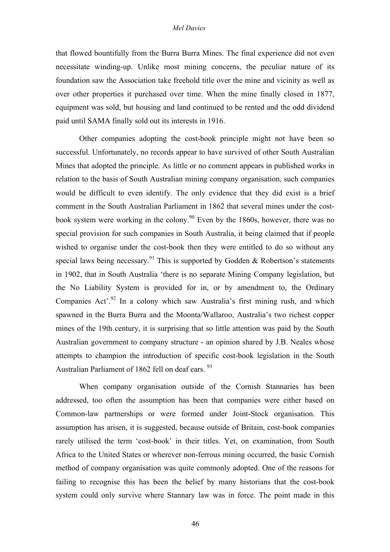that flowed bountifully from the Burra Burra Mines. The final experience did not even necessitate winding-up. Unlike most mining concerns, the peculiar nature of its foundation saw the Association take freehold title over the mine and vicinity as well as over other properties it purchased over time. When the mine finally closed in 1877, equipment was sold, but housing and land continued to be rented and the odd dividend paid until SAMA finally sold out its interests in 1916.

Other companies adopting the cost-book principle might not have been so successful. Unfortunately, no records appear to have survived of other South Australian Mines that adopted the principle. As little or no comment appears in published works in relation to the basis of South Australian mining company organisation, such companies would be difficult to even identify. The only evidence that they did exist is a brief comment in the South Australian Parliament in 1862 that several mines under the costbook system were working in the colony.<sup>90</sup> Even by the 1860s, however, there was no special provision for such companies in South Australia, it being claimed that if people wished to organise under the cost-book then they were entitled to do so without any special laws being necessary.<sup>91</sup> This is supported by Godden & Robertson's statements in 1902, that in South Australia 'there is no separate Mining Company legislation, but the No Liability System is provided for in, or by amendment to, the Ordinary Companies Act<sup>', 92</sup> In a colony which saw Australia's first mining rush, and which spawned in the Burra Burra and the Moonta/Wallaroo, Australia's two richest copper mines of the 19th century, it is surprising that so little attention was paid by the South Australian government to company structure - an opinion shared by J.B. Neales whose attempts to champion the introduction of specific cost-book legislation in the South Australian Parliament of 1862 fell on deaf ears. <sup>93</sup>

When company organisation outside of the Cornish Stannaries has been addressed, too often the assumption has been that companies were either based on Common-law partnerships or were formed under Joint-Stock organisation. This assumption has arisen, it is suggested, because outside of Britain, cost-book companies rarely utilised the term 'cost-book' in their titles. Yet, on examination, from South Africa to the United States or wherever non-ferrous mining occurred, the basic Cornish method of company organisation was quite commonly adopted. One of the reasons for failing to recognise this has been the belief by many historians that the cost-book system could only survive where Stannary law was in force. The point made in this

46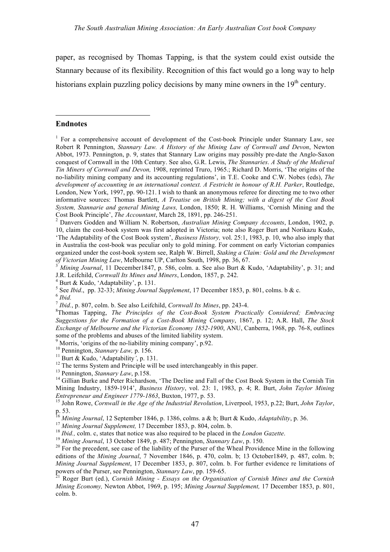paper, as recognised by Thomas Tapping, is that the system could exist outside the Stannary because of its flexibility. Recognition of this fact would go a long way to help historians explain puzzling policy decisions by many mine owners in the 19<sup>th</sup> century.

### **Endnotes**

 $\overline{a}$ 

10, claim the cost-book system was first adopted in Victoria; note also Roger Burt and Norikazu Kudo, 'The Adaptability of the Cost Book system', *Business History,* vol. 25:1, 1983, p. 10, who also imply that in Australia the cost-book was peculiar only to gold mining. For comment on early Victorian companies organized under the cost-book system see, Ralph W. Birrell, *Staking a Claim: Gold and the Development of Victorian Mining Law*, Melbourne UP, Carlton South, 1998, pp. 36, 67.<br><sup>3</sup> *Mining Journal*, 11 December1847, p. 586, colm. a. See also Burt & Kudo, 'Adaptability', p. 31; and

J.R. Leifchild, *Cornwall Its Mines and Miners*, London, 1857, p. 242.<br>
<sup>4</sup> Burt & Kudo, 'Adaptability', p. 131.<br>
<sup>5</sup> See *Ibid.*, pp. 32-33; *Mining Journal Supplement*, 17 December 1853, p. 801, colms. b & c.<br>
<sup>6</sup> *Ibid* 

Thomas Tapping, *The Principles of the Cost-Book System Practically Considered; Embracing Suggestions for the Formation of a Cost-Book Mining Company*, 1867, p. 12; A.R. Hall, *The Stock Exchange of Melbourne and the Victorian Economy 1852-1900,* ANU, Canberra, 1968, pp. 76-8, outlines some of the problems and abuses of the limited liability system.

<sup>9</sup> Morris, 'origins of the no-liability mining company', p.92.<br><sup>10</sup> Pennington, *Stannary Law*, p. 156.<br><sup>11</sup> Burt & Kudo, 'Adaptability', p. 131.<br><sup>12</sup> The terms System and Principle will be used interchangeably in this p Mining Industry, 1859-1914', *Business History*, vol. 23: 1, 1983, p. 4; R. Burt, *John Taylor Mining* Entrepreneur and Engineer 1779-1863, Buxton, 1977, p. 53.<br><sup>15</sup> John Rowe. Cornwall in the Age of the Industrial Revolution, Liverpool, 1953, p.22; Burt, John Taylor,

editions of the *Mining Journal*, 7 November 1846, p. 470, colm. b; 13 October1849, p. 487, colm. b; *Mining Journal Supplement*, 17 December 1853, p. 807, colm. b. For further evidence re limitations of powers of the Purser, see Pennington, *Stannary Law*, pp. 159-65.

Roger Burt (ed.), Cornish Mining - Essays on the Organisation of Cornish Mines and the Cornish *Mining Economy,* Newton Abbot, 1969, p. 195; *Mining Journal Supplement,* 17 December 1853, p. 801, colm. b.

<sup>&</sup>lt;sup>1</sup> For a comprehensive account of development of the Cost-book Principle under Stannary Law, see Robert R Pennington, *Stannary Law. A History of the Mining Law of Cornwall and Devon*, Newton Abbot, 1973. Pennington, p. 9, states that Stannary Law origins may possibly pre-date the Anglo-Saxon conquest of Cornwall in the 10th Century. See also, G.R. Lewis, *The Stannaries*. *A Study of the Medieval Tin Miners of Cornwall and Devon,* 1908, reprinted Truro, 1965.; Richard D. Morris, 'The origins of the no-liability mining company and its accounting regulations', in T.E. Cooke and C.W. Nobes (eds), *The development of accounting in an international context. A Festricht in honour of R.H. Parker*, Routledge, London, New York, 1997, pp. 90-121. I wish to thank an anonymous referee for directing me to two other informative sources: Thomas Bartlett, *A Treatise on British Mining; with a digest of the Cost Book System, Stannarie and general Mining Laws,* London, 1850; R. H. Williams, 'Cornish Mining and the Cost Book Principle', *The Accountant*, March 28, 1891, pp. 246-251. <sup>2</sup> Danvers Godden and William N. Robertson, *Australian Mining Company Accounts*, London, 1902, p.

p. 53.<br><sup>16</sup> Mining Journal, 12 September 1846, p. 1386, colms. a & b; Burt & Kudo, *Adaptability*, p. 36.<br><sup>17</sup> Mining Journal Supplement, 17 December 1853, p. 804, colm. b.<br><sup>18</sup> Ibid., colm. c, states that notice was also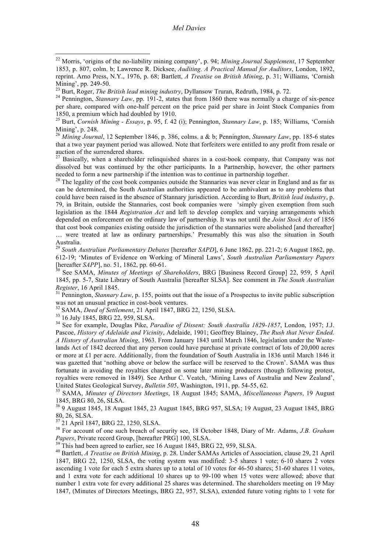Mining', p. 248. <sup>26</sup> *Mining Journal*, <sup>12</sup> September 1846, p. 386, colms. <sup>a</sup> & b; Pennington, *Stannary Law*, pp. 185-6 states that a two year payment period was allowed. Note that forfeiters were entitled to any profit from resale or auction of the surrendered shares.<br><sup>27</sup> Basically, when a shareholder relinquished shares in a cost-book company, that Company was not

dissolved but was continued by the other participants. In a Partnership, however, the other partners needed to form a new partnership if the intention was to continue in partnership together.

 $28$  The legality of the cost book companies outside the Stannaries was never clear in England and as far as can be determined, the South Australian authorities appeared to be ambivalent as to any problems that could have been raised in the absence of Stannary jurisdiction. According to Burt, *British lead industry*, p. 79, in Britain, outside the Stannaries, cost book companies were 'simply given exemption from such legislation as the 1844 *Registration Act* and left to develop complex and varying arrangements which depended on enforcement on the ordinary law of partnership. It was not until the *Joint Stock Act* of 1856 that cost book companies existing outside the jurisdiction of the stannaries were abolished [and thereafter] … were treated at law as ordinary partnerships.' Presumably this was also the situation in South

Australia. <sup>29</sup> *South Australian Parliamentary Debates* [hereafter *SAPD*], <sup>6</sup> June 1862, pp. 221-2; <sup>6</sup> August 1862, pp. 612-19; 'Minutes of Evidence on Working of Mineral Laws', *South Australian Parliamentary Papers*

[hereafter *SAPP*], no. 51, 1862, pp. 60-61. <sup>30</sup> See SAMA, *Minutes of Meetings of Shareholders*, BRG [Business Record Group] 22, 959, <sup>5</sup> April 1845, pp. 5-7, State Library of South Australia [hereafter SLSA]. See comment in *The South Australian*

*Register*, 16 April 1845.<br><sup>31</sup> Pennington, *Stannary Law*, p. 155, points out that the issue of a Prospectus to invite public subscription was not an unusual practice in cost-book ventures.

<sup>32</sup> SAMA, *Deed of Settlement*, 21 April 1847, BRG 22, 1250, SLSA.<br><sup>33</sup> 16 July 1845, BRG 22, 959, SLSA.<br><sup>34</sup> See for example, Douglas Pike, *Paradise of Dissent: South Australia 1829-1857*, London, 1957; J.J. Pascoe, *History of Adelaide and Vicinity*, Adelaide, 1901; Geoffrey Blainey, *The Rush that Never Ended. A History of Australian Mining*, 1963. From January 1843 until March 1846, legislation under the Wastelands Act of 1842 decreed that any person could have purchase at private contract of lots of 20,000 acres or more at £1 per acre. Additionally, from the foundation of South Australia in 1836 until March 1846 it was gazetted that 'nothing above or below the surface will be reserved to the Crown'. SAMA was thus fortunate in avoiding the royalties charged on some later mining producers (though following protest, royalties were removed in 1849). See Arthur C. Veatch, 'Mining Laws of Australia and New Zealand',

United States Geological Survey, *Bulletin 505*, Washington, 1911, pp. 54-55, 62.<br><sup>35</sup> SAMA, *Minutes of Directors Meetings*, 18 August 1845; SAMA, *Miscellaneous Papers*, 19 August 1845. BRG 80. 26. SLSA.

<sup>36</sup> 9 August 1845, 18 August 1845, 23 August 1845, BRG 957, SLSA; 19 August, 23 August 1845, BRG

80, 26, SLSA. <sup>37</sup> <sup>21</sup> April 1847, BRG 22, 1250, SLSA. <sup>38</sup> For account of one such breach of security see, <sup>18</sup> October 1848, Diary of Mr. Adams, *J.B. Graham Papers*, Private record Group, [hereafter PRG] 100, SLSA.<br><sup>39</sup> This had been agreed to earlier, see 16 August 1845, BRG 22, 959, SLSA.<br><sup>40</sup> Bartlett, *A Treatise on British Mining*, p. 28. Under SAMAs Articles of Associat

1847, BRG 22, 1250, SLSA, the voting system was modified: 3-5 shares 1 vote; 6-10 shares 2 votes ascending 1 vote for each 5 extra shares up to a total of 10 votes for 46-50 shares; 51-60 shares 11 votes, and 1 extra vote for each additional 10 shares up to 99-100 when 15 votes were allowed; above that number 1 extra vote for every additional 25 shares was determined. The shareholders meeting on 19 May 1847, (Minutes of Directors Meetings, BRG 22, 957, SLSA), extended future voting rights to 1 vote for

 <sup>22</sup> Morris, 'origins of the no-liability mining company', p. 94; *Mining Journal Supplement*, <sup>17</sup> September 1853, p. 807, colm. b; Lawrence R. Dicksee, *Auditing. A Practical Manual for Auditors*, London, 1892, reprint. Arno Press, N.Y., 1976, p. 68; Bartlett, *A Treatise on British Mining*, p. 31; Williams, 'Cornish Mining', pp. 249-50.<br><sup>23</sup> Burt, Roger, *The British lead mining industry*, Dyllansow Truran, Redruth, 1984, p. 72.<br><sup>24</sup> Pennington, *Stannary Law*, pp. 191-2, states that from 1860 there was normally a charge of six-pence

per share, compared with one-half percent on the price paid per share in Joint Stock Companies from

<sup>1850,</sup> a premium which had doubled by 1910.<br><sup>25</sup> Burt, *Cornish Mining - Essays*, p. 95, f. 42 (i); Pennington, *Stannary Law*, p. 185; Williams, 'Cornish Mining', p. 248.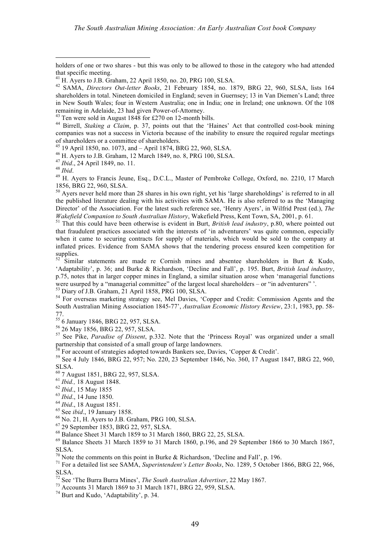holders of one or two shares - but this was only to be allowed to those in the category who had attended

1856, BRG 22, 960, SLSA.<br><sup>50</sup> Avers never held more than 28 shares in his own right, yet his 'large shareholdings' is referred to in all the published literature dealing with his activities with SAMA. He is also referred to as the 'Managing Director' of the Association. For the latest such reference see, 'Henry Ayers', in Wilfrid Prest (ed.), *The Wakefield Companion to South Australian History*, Wakefield Press, Kent Town, SA, 2001, p. 61.<br><sup>51</sup> That this could have been otherwise is evident in Burt, *British lead industry*, p.80, where pointed out

that fraudulent practices associated with the interests of 'in adventurers' was quite common, especially when it came to securing contracts for supply of materials, which would be sold to the company at inflated prices. Evidence from SAMA shows that the tendering process ensured keen competition for supplies.<br><sup>52</sup> Similar statements are made re Cornish mines and absentee shareholders in Burt & Kudo,

'Adaptabilit*y*', p. 36; and Burke & Richardson, 'Decline and Fall', p. 195. Burt, *British lead industry*, p.75, notes that in larger copper mines in England, a similar situation arose when 'managerial functions were usurped by a "managerial committee" of the largest local shareholders – or "in adventurers" '.<br>
<sup>53</sup> Diary of J.B. Graham, 21 April 1858, PRG 100, SLSA.<br>
<sup>54</sup> For overseas marketing strategy see, Mel Davies, 'Copper a

South Australian Mining Association 1845-77', *Australian Economic History Review*, 23:1, 1983, pp. 58-

77. <sup>55</sup> <sup>6</sup> January 1846, BRG 22, 957, SLSA. <sup>56</sup> <sup>26</sup> May 1856, BRG 22, 957, SLSA. <sup>57</sup> See Pike, *Paradise of Dissent*, p.332. Note that the 'Princess Royal' was organized under <sup>a</sup> small partnership that consisted of a small group of large landowners.<br><sup>58</sup> For account of strategies adopted towards Bankers see, Davies, 'Copper & Credit'.<br><sup>59</sup> See 4 July 1846, BRG 22, 957; No. 220, 23 September 1846, No. 360

- 
- 
- 
- 

SLSA.<br><sup>61</sup> 7 August 1851, BRG 22, 957, SLSA.<br><sup>61</sup> *Ibid.*, 18 August 1848.<br><sup>62</sup> *Ibid.*, 15 May 1855<br><sup>63</sup> *Ibid.*, 18 August 1851.<br><sup>64</sup> *Ibid.*, 18 August 1851.<br><sup>65</sup> See *ibid.*, 19 January 1858.<br><sup>65</sup> No. 21, H. Ayers to J SLSA. <sup>70</sup> Note the comments on this point in Burke & Richardson, 'Decline and Fall', p. 196. <sup>71</sup> For <sup>a</sup> detailed list see SAMA, *Superintendent's Letter Books*, No. 1289, <sup>5</sup> October 1866, BRG 22, 966,

SLSA.<br><sup>72</sup> See 'The Burra Burra Mines', *The South Australian Advertiser*, 22 May 1867.<br><sup>73</sup> Accounts 31 March 1869 to 31 March 1871, BRG 22, 959, SLSA.<br><sup>74</sup> Burt and Kudo, 'Adaptability', p. 34.

that specific meeting. <sup>41</sup> H. Ayers to J.B. Graham, <sup>22</sup> April 1850, no. 20, PRG 100, SLSA. <sup>42</sup> SAMA, *Directors Out-letter Books*, <sup>21</sup> February 1854, no. 1879, BRG 22, 960, SLSA, lists <sup>164</sup> shareholders in total. Nineteen domiciled in England; seven in Guernsey; 13 in Van Diemen's Land; three in New South Wales; four in Western Australia; one in India; one in Ireland; one unknown. Of the 108

remaining in Adelaide, 23 had given Power-of-Attorney.<br><sup>43</sup> Ten were sold in August 1848 for £270 on 12-month bills.<br><sup>44</sup> Birrell, *Staking a Claim*, p. 37, points out that the 'Haines' Act that controlled cost-book mining companies was not a success in Victoria because of the inability to ensure the required regular meetings of shareholders or a committee of shareholders.<br>
<sup>45</sup> 19 April 1850, no. 1073, and – April 1874, BRG 22, 960, SLSA.<br>
<sup>46</sup> H. Ayers to J.B. Graham, 12 March 1849, no. 8, PRG 100, SLSA.<br>
<sup>47</sup> Ibid., 24 April 1849, no. 11.<br>